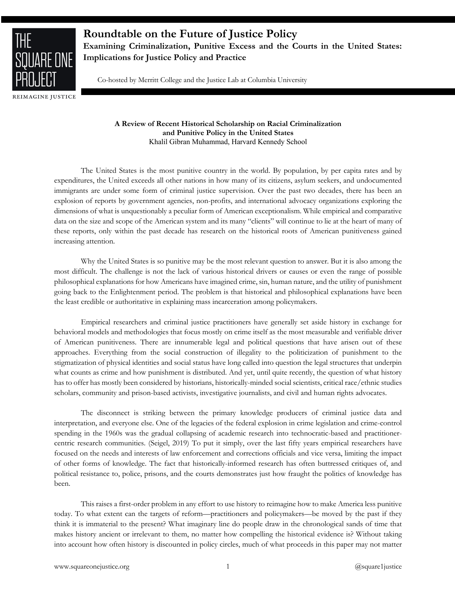

**Roundtable on the Future of Justice Policy Examining Criminalization, Punitive Excess and the Courts in the United States: Implications for Justice Policy and Practice**

Co-hosted by Merritt College and the Justice Lab at Columbia University

REIMAGINE JUSTICE

# **A Review of Recent Historical Scholarship on Racial Criminalization and Punitive Policy in the United States** Khalil Gibran Muhammad, Harvard Kennedy School

The United States is the most punitive country in the world. By population, by per capita rates and by expenditures, the United exceeds all other nations in how many of its citizens, asylum seekers, and undocumented immigrants are under some form of criminal justice supervision. Over the past two decades, there has been an explosion of reports by government agencies, non-profits, and international advocacy organizations exploring the dimensions of what is unquestionably a peculiar form of American exceptionalism. While empirical and comparative data on the size and scope of the American system and its many "clients" will continue to lie at the heart of many of these reports, only within the past decade has research on the historical roots of American punitiveness gained increasing attention.

Why the United States is so punitive may be the most relevant question to answer. But it is also among the most difficult. The challenge is not the lack of various historical drivers or causes or even the range of possible philosophical explanations for how Americans have imagined crime, sin, human nature, and the utility of punishment going back to the Enlightenment period. The problem is that historical and philosophical explanations have been the least credible or authoritative in explaining mass incarceration among policymakers.

Empirical researchers and criminal justice practitioners have generally set aside history in exchange for behavioral models and methodologies that focus mostly on crime itself as the most measurable and verifiable driver of American punitiveness. There are innumerable legal and political questions that have arisen out of these approaches. Everything from the social construction of illegality to the politicization of punishment to the stigmatization of physical identities and social status have long called into question the legal structures that underpin what counts as crime and how punishment is distributed. And yet, until quite recently, the question of what history has to offer has mostly been considered by historians, historically-minded social scientists, critical race/ethnic studies scholars, community and prison-based activists, investigative journalists, and civil and human rights advocates.

The disconnect is striking between the primary knowledge producers of criminal justice data and interpretation, and everyone else. One of the legacies of the federal explosion in crime legislation and crime-control spending in the 1960s was the gradual collapsing of academic research into technocratic-based and practitionercentric research communities. (Seigel, 2019) To put it simply, over the last fifty years empirical researchers have focused on the needs and interests of law enforcement and corrections officials and vice versa, limiting the impact of other forms of knowledge. The fact that historically-informed research has often buttressed critiques of, and political resistance to, police, prisons, and the courts demonstrates just how fraught the politics of knowledge has been.

This raises a first-order problem in any effort to use history to reimagine how to make America less punitive today. To what extent can the targets of reform—practitioners and policymakers—be moved by the past if they think it is immaterial to the present? What imaginary line do people draw in the chronological sands of time that makes history ancient or irrelevant to them, no matter how compelling the historical evidence is? Without taking into account how often history is discounted in policy circles, much of what proceeds in this paper may not matter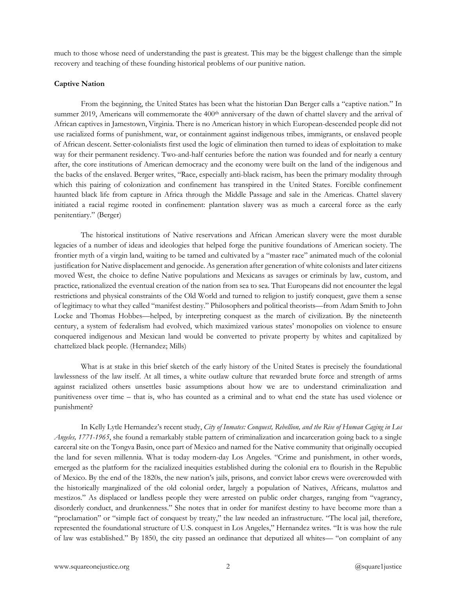much to those whose need of understanding the past is greatest. This may be the biggest challenge than the simple recovery and teaching of these founding historical problems of our punitive nation.

### **Captive Nation**

From the beginning, the United States has been what the historian Dan Berger calls a "captive nation." In summer 2019, Americans will commemorate the 400<sup>th</sup> anniversary of the dawn of chattel slavery and the arrival of African captives in Jamestown, Virginia. There is no American history in which European-descended people did not use racialized forms of punishment, war, or containment against indigenous tribes, immigrants, or enslaved people of African descent. Setter-colonialists first used the logic of elimination then turned to ideas of exploitation to make way for their permanent residency. Two-and-half centuries before the nation was founded and for nearly a century after, the core institutions of American democracy and the economy were built on the land of the indigenous and the backs of the enslaved. Berger writes, "Race, especially anti-black racism, has been the primary modality through which this pairing of colonization and confinement has transpired in the United States. Forcible confinement haunted black life from capture in Africa through the Middle Passage and sale in the Americas. Chattel slavery initiated a racial regime rooted in confinement: plantation slavery was as much a carceral force as the early penitentiary." (Berger)

The historical institutions of Native reservations and African American slavery were the most durable legacies of a number of ideas and ideologies that helped forge the punitive foundations of American society. The frontier myth of a virgin land, waiting to be tamed and cultivated by a "master race" animated much of the colonial justification for Native displacement and genocide. As generation after generation of white colonists and later citizens moved West, the choice to define Native populations and Mexicans as savages or criminals by law, custom, and practice, rationalized the eventual creation of the nation from sea to sea. That Europeans did not encounter the legal restrictions and physical constraints of the Old World and turned to religion to justify conquest, gave them a sense of legitimacy to what they called "manifest destiny." Philosophers and political theorists—from Adam Smith to John Locke and Thomas Hobbes—helped, by interpreting conquest as the march of civilization. By the nineteenth century, a system of federalism had evolved, which maximized various states' monopolies on violence to ensure conquered indigenous and Mexican land would be converted to private property by whites and capitalized by chattelized black people. (Hernandez; Mills)

What is at stake in this brief sketch of the early history of the United States is precisely the foundational lawlessness of the law itself. At all times, a white outlaw culture that rewarded brute force and strength of arms against racialized others unsettles basic assumptions about how we are to understand criminalization and punitiveness over time – that is, who has counted as a criminal and to what end the state has used violence or punishment?

In Kelly Lytle Hernandez's recent study, *City of Inmates: Conquest, Rebellion, and the Rise of Human Caging in Los Angeles, 1771-1965*, she found a remarkably stable pattern of criminalization and incarceration going back to a single carceral site on the Tongva Basin, once part of Mexico and named for the Native community that originally occupied the land for seven millennia. What is today modern-day Los Angeles. "Crime and punishment, in other words, emerged as the platform for the racialized inequities established during the colonial era to flourish in the Republic of Mexico. By the end of the 1820s, the new nation's jails, prisons, and convict labor crews were overcrowded with the historically marginalized of the old colonial order, largely a population of Natives, Africans, mulattos and mestizos." As displaced or landless people they were arrested on public order charges, ranging from "vagrancy, disorderly conduct, and drunkenness." She notes that in order for manifest destiny to have become more than a "proclamation" or "simple fact of conquest by treaty," the law needed an infrastructure. "The local jail, therefore, represented the foundational structure of U.S. conquest in Los Angeles," Hernandez writes. "It is was how the rule of law was established." By 1850, the city passed an ordinance that deputized all whites— "on complaint of any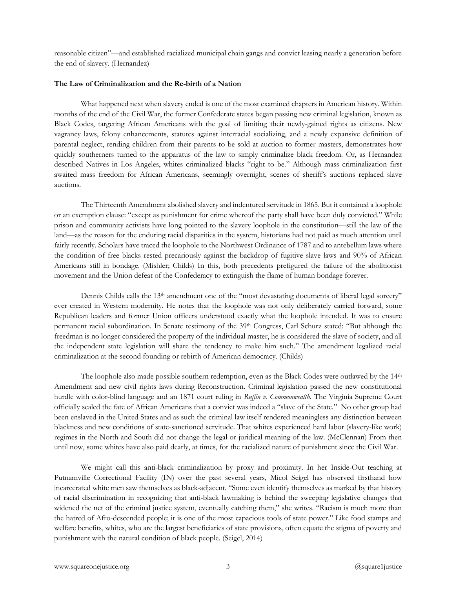reasonable citizen"—and established racialized municipal chain gangs and convict leasing nearly a generation before the end of slavery. (Hernandez)

### **The Law of Criminalization and the Re-birth of a Nation**

What happened next when slavery ended is one of the most examined chapters in American history. Within months of the end of the Civil War, the former Confederate states began passing new criminal legislation, known as Black Codes, targeting African Americans with the goal of limiting their newly-gained rights as citizens. New vagrancy laws, felony enhancements, statutes against interracial socializing, and a newly expansive definition of parental neglect, rending children from their parents to be sold at auction to former masters, demonstrates how quickly southerners turned to the apparatus of the law to simply criminalize black freedom. Or, as Hernandez described Natives in Los Angeles, whites criminalized blacks "right to be." Although mass criminalization first awaited mass freedom for African Americans, seemingly overnight, scenes of sheriff's auctions replaced slave auctions.

The Thirteenth Amendment abolished slavery and indentured servitude in 1865. But it contained a loophole or an exemption clause: "except as punishment for crime whereof the party shall have been duly convicted." While prison and community activists have long pointed to the slavery loophole in the constitution—still the law of the land—as the reason for the enduring racial disparities in the system, historians had not paid as much attention until fairly recently. Scholars have traced the loophole to the Northwest Ordinance of 1787 and to antebellum laws where the condition of free blacks rested precariously against the backdrop of fugitive slave laws and 90% of African Americans still in bondage. (Mishler; Childs) In this, both precedents prefigured the failure of the abolitionist movement and the Union defeat of the Confederacy to extinguish the flame of human bondage forever.

Dennis Childs calls the 13<sup>th</sup> amendment one of the "most devastating documents of liberal legal sorcery" ever created in Western modernity. He notes that the loophole was not only deliberately carried forward, some Republican leaders and former Union officers understood exactly what the loophole intended. It was to ensure permanent racial subordination. In Senate testimony of the 39<sup>th</sup> Congress, Carl Schurz stated: "But although the freedman is no longer considered the property of the individual master, he is considered the slave of society, and all the independent state legislation will share the tendency to make him such." The amendment legalized racial criminalization at the second founding or rebirth of American democracy. (Childs)

The loophole also made possible southern redemption, even as the Black Codes were outlawed by the 14<sup>th</sup> Amendment and new civil rights laws during Reconstruction. Criminal legislation passed the new constitutional hurdle with color-blind language and an 1871 court ruling in *Ruffin v. Commonwealth.* The Virginia Supreme Court officially sealed the fate of African Americans that a convict was indeed a "slave of the State." No other group had been enslaved in the United States and as such the criminal law itself rendered meaningless any distinction between blackness and new conditions of state-sanctioned servitude. That whites experienced hard labor (slavery-like work) regimes in the North and South did not change the legal or juridical meaning of the law. (McClennan) From then until now, some whites have also paid dearly, at times, for the racialized nature of punishment since the Civil War.

We might call this anti-black criminalization by proxy and proximity. In her Inside-Out teaching at Putnamville Correctional Facility (IN) over the past several years, Micol Seigel has observed firsthand how incarcerated white men saw themselves as black-adjacent. "Some even identify themselves as marked by that history of racial discrimination in recognizing that anti-black lawmaking is behind the sweeping legislative changes that widened the net of the criminal justice system, eventually catching them," she writes. "Racism is much more than the hatred of Afro-descended people; it is one of the most capacious tools of state power." Like food stamps and welfare benefits, whites, who are the largest beneficiaries of state provisions, often equate the stigma of poverty and punishment with the natural condition of black people. (Seigel, 2014)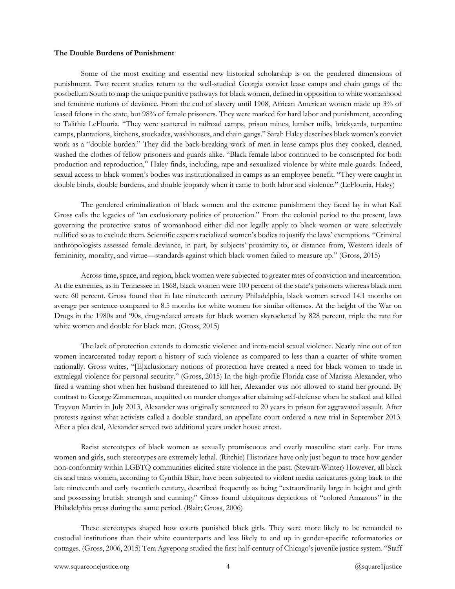#### **The Double Burdens of Punishment**

Some of the most exciting and essential new historical scholarship is on the gendered dimensions of punishment. Two recent studies return to the well-studied Georgia convict lease camps and chain gangs of the postbellum South to map the unique punitive pathways for black women, defined in opposition to white womanhood and feminine notions of deviance. From the end of slavery until 1908, African American women made up 3% of leased felons in the state, but 98% of female prisoners. They were marked for hard labor and punishment, according to Talithia LeFlouria. "They were scattered in railroad camps, prison mines, lumber mills, brickyards, turpentine camps, plantations, kitchens, stockades, washhouses, and chain gangs." Sarah Haley describes black women's convict work as a "double burden." They did the back-breaking work of men in lease camps plus they cooked, cleaned, washed the clothes of fellow prisoners and guards alike. "Black female labor continued to be conscripted for both production and reproduction," Haley finds, including, rape and sexualized violence by white male guards. Indeed, sexual access to black women's bodies was institutionalized in camps as an employee benefit. "They were caught in double binds, double burdens, and double jeopardy when it came to both labor and violence." (LeFlouria, Haley)

The gendered criminalization of black women and the extreme punishment they faced lay in what Kali Gross calls the legacies of "an exclusionary politics of protection." From the colonial period to the present, laws governing the protective status of womanhood either did not legally apply to black women or were selectively nullified so as to exclude them. Scientific experts racialized women's bodies to justify the laws' exemptions. "Criminal anthropologists assessed female deviance, in part, by subjects' proximity to, or distance from, Western ideals of femininity, morality, and virtue—standards against which black women failed to measure up." (Gross, 2015)

Across time, space, and region, black women were subjected to greater rates of conviction and incarceration. At the extremes, as in Tennessee in 1868, black women were 100 percent of the state's prisoners whereas black men were 60 percent. Gross found that in late nineteenth century Philadelphia, black women served 14.1 months on average per sentence compared to 8.5 months for white women for similar offenses. At the height of the War on Drugs in the 1980s and '90s, drug-related arrests for black women skyrocketed by 828 percent, triple the rate for white women and double for black men. (Gross, 2015)

The lack of protection extends to domestic violence and intra-racial sexual violence. Nearly nine out of ten women incarcerated today report a history of such violence as compared to less than a quarter of white women nationally. Gross writes, "[E]xclusionary notions of protection have created a need for black women to trade in extralegal violence for personal security." (Gross, 2015) In the high-profile Florida case of Marissa Alexander, who fired a warning shot when her husband threatened to kill her, Alexander was not allowed to stand her ground. By contrast to George Zimmerman, acquitted on murder charges after claiming self-defense when he stalked and killed Trayvon Martin in July 2013, Alexander was originally sentenced to 20 years in prison for aggravated assault. After protests against what activists called a double standard, an appellate court ordered a new trial in September 2013. After a plea deal, Alexander served two additional years under house arrest.

Racist stereotypes of black women as sexually promiscuous and overly masculine start early. For trans women and girls, such stereotypes are extremely lethal. (Ritchie) Historians have only just begun to trace how gender non-conformity within LGBTQ communities elicited state violence in the past. (Stewart-Winter) However, all black cis and trans women, according to Cynthia Blair, have been subjected to violent media caricatures going back to the late nineteenth and early twentieth century, described frequently as being "extraordinarily large in height and girth and possessing brutish strength and cunning." Gross found ubiquitous depictions of "colored Amazons" in the Philadelphia press during the same period. (Blair; Gross, 2006)

These stereotypes shaped how courts punished black girls. They were more likely to be remanded to custodial institutions than their white counterparts and less likely to end up in gender-specific reformatories or cottages. (Gross, 2006, 2015) Tera Agyepong studied the first half-century of Chicago's juvenile justice system. "Staff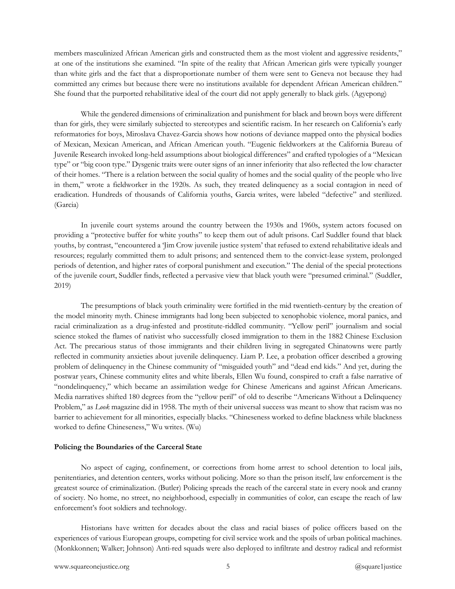members masculinized African American girls and constructed them as the most violent and aggressive residents," at one of the institutions she examined. "In spite of the reality that African American girls were typically younger than white girls and the fact that a disproportionate number of them were sent to Geneva not because they had committed any crimes but because there were no institutions available for dependent African American children." She found that the purported rehabilitative ideal of the court did not apply generally to black girls. (Agyepong)

While the gendered dimensions of criminalization and punishment for black and brown boys were different than for girls, they were similarly subjected to stereotypes and scientific racism. In her research on California's early reformatories for boys, Miroslava Chavez-Garcia shows how notions of deviance mapped onto the physical bodies of Mexican, Mexican American, and African American youth. "Eugenic fieldworkers at the California Bureau of Juvenile Research invoked long-held assumptions about biological differences" and crafted typologies of a "Mexican type" or "big coon type." Dysgenic traits were outer signs of an inner inferiority that also reflected the low character of their homes. "There is a relation between the social quality of homes and the social quality of the people who live in them," wrote a fieldworker in the 1920s. As such, they treated delinquency as a social contagion in need of eradication. Hundreds of thousands of California youths, Garcia writes, were labeled "defective" and sterilized. (Garcia)

In juvenile court systems around the country between the 1930s and 1960s, system actors focused on providing a "protective buffer for white youths" to keep them out of adult prisons. Carl Suddler found that black youths, by contrast, "encountered a 'Jim Crow juvenile justice system' that refused to extend rehabilitative ideals and resources; regularly committed them to adult prisons; and sentenced them to the convict-lease system, prolonged periods of detention, and higher rates of corporal punishment and execution." The denial of the special protections of the juvenile court, Suddler finds, reflected a pervasive view that black youth were "presumed criminal." (Suddler, 2019)

The presumptions of black youth criminality were fortified in the mid twentieth-century by the creation of the model minority myth. Chinese immigrants had long been subjected to xenophobic violence, moral panics, and racial criminalization as a drug-infested and prostitute-riddled community. "Yellow peril" journalism and social science stoked the flames of nativist who successfully closed immigration to them in the 1882 Chinese Exclusion Act. The precarious status of those immigrants and their children living in segregated Chinatowns were partly reflected in community anxieties about juvenile delinquency. Liam P. Lee, a probation officer described a growing problem of delinquency in the Chinese community of "misguided youth" and "dead end kids." And yet, during the postwar years, Chinese community elites and white liberals, Ellen Wu found, conspired to craft a false narrative of "nondelinquency," which became an assimilation wedge for Chinese Americans and against African Americans. Media narratives shifted 180 degrees from the "yellow peril" of old to describe "Americans Without a Delinquency Problem," as *Look* magazine did in 1958. The myth of their universal success was meant to show that racism was no barrier to achievement for all minorities, especially blacks. "Chineseness worked to define blackness while blackness worked to define Chineseness," Wu writes. (Wu)

#### **Policing the Boundaries of the Carceral State**

No aspect of caging, confinement, or corrections from home arrest to school detention to local jails, penitentiaries, and detention centers, works without policing. More so than the prison itself, law enforcement is the greatest source of criminalization. (Butler) Policing spreads the reach of the carceral state in every nook and cranny of society. No home, no street, no neighborhood, especially in communities of color, can escape the reach of law enforcement's foot soldiers and technology.

Historians have written for decades about the class and racial biases of police officers based on the experiences of various European groups, competing for civil service work and the spoils of urban political machines. (Monkkonnen; Walker; Johnson) Anti-red squads were also deployed to infiltrate and destroy radical and reformist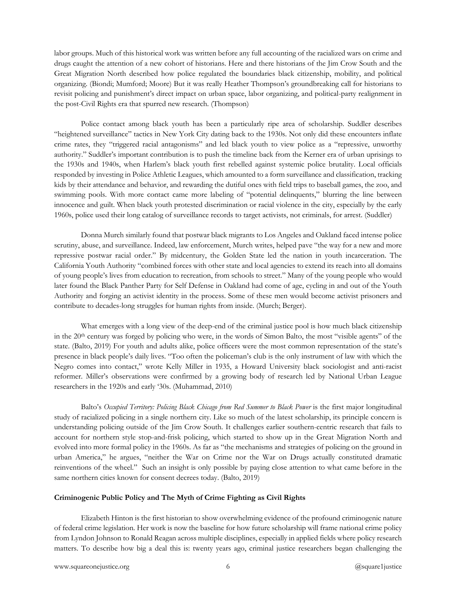labor groups. Much of this historical work was written before any full accounting of the racialized wars on crime and drugs caught the attention of a new cohort of historians. Here and there historians of the Jim Crow South and the Great Migration North described how police regulated the boundaries black citizenship, mobility, and political organizing. (Biondi; Mumford; Moore) But it was really Heather Thompson's groundbreaking call for historians to revisit policing and punishment's direct impact on urban space, labor organizing, and political-party realignment in the post-Civil Rights era that spurred new research. (Thompson)

Police contact among black youth has been a particularly ripe area of scholarship. Suddler describes "heightened surveillance" tactics in New York City dating back to the 1930s. Not only did these encounters inflate crime rates, they "triggered racial antagonisms" and led black youth to view police as a "repressive, unworthy authority." Suddler's important contribution is to push the timeline back from the Kerner era of urban uprisings to the 1930s and 1940s, when Harlem's black youth first rebelled against systemic police brutality. Local officials responded by investing in Police Athletic Leagues, which amounted to a form surveillance and classification, tracking kids by their attendance and behavior, and rewarding the dutiful ones with field trips to baseball games, the zoo, and swimming pools. With more contact came more labeling of "potential delinquents," blurring the line between innocence and guilt. When black youth protested discrimination or racial violence in the city, especially by the early 1960s, police used their long catalog of surveillance records to target activists, not criminals, for arrest. (Suddler)

Donna Murch similarly found that postwar black migrants to Los Angeles and Oakland faced intense police scrutiny, abuse, and surveillance. Indeed, law enforcement, Murch writes, helped pave "the way for a new and more repressive postwar racial order." By midcentury, the Golden State led the nation in youth incarceration. The California Youth Authority "combined forces with other state and local agencies to extend its reach into all domains of young people's lives from education to recreation, from schools to street." Many of the young people who would later found the Black Panther Party for Self Defense in Oakland had come of age, cycling in and out of the Youth Authority and forging an activist identity in the process. Some of these men would become activist prisoners and contribute to decades-long struggles for human rights from inside. (Murch; Berger).

What emerges with a long view of the deep-end of the criminal justice pool is how much black citizenship in the 20th century was forged by policing who were, in the words of Simon Balto, the most "visible agents" of the state. (Balto, 2019) For youth and adults alike, police officers were the most common representation of the state's presence in black people's daily lives. "Too often the policeman's club is the only instrument of law with which the Negro comes into contact," wrote Kelly Miller in 1935, a Howard University black sociologist and anti-racist reformer. Miller's observations were confirmed by a growing body of research led by National Urban League researchers in the 1920s and early '30s. (Muhammad, 2010)

Balto's Occupied Territory: Policing Black Chicago from Red Summer to Black Power is the first major longitudinal study of racialized policing in a single northern city. Like so much of the latest scholarship, its principle concern is understanding policing outside of the Jim Crow South. It challenges earlier southern-centric research that fails to account for northern style stop-and-frisk policing, which started to show up in the Great Migration North and evolved into more formal policy in the 1960s. As far as "the mechanisms and strategies of policing on the ground in urban America," he argues, "neither the War on Crime nor the War on Drugs actually constituted dramatic reinventions of the wheel." Such an insight is only possible by paying close attention to what came before in the same northern cities known for consent decrees today. (Balto, 2019)

## **Criminogenic Public Policy and The Myth of Crime Fighting as Civil Rights**

Elizabeth Hinton is the first historian to show overwhelming evidence of the profound criminogenic nature of federal crime legislation. Her work is now the baseline for how future scholarship will frame national crime policy from Lyndon Johnson to Ronald Reagan across multiple disciplines, especially in applied fields where policy research matters. To describe how big a deal this is: twenty years ago, criminal justice researchers began challenging the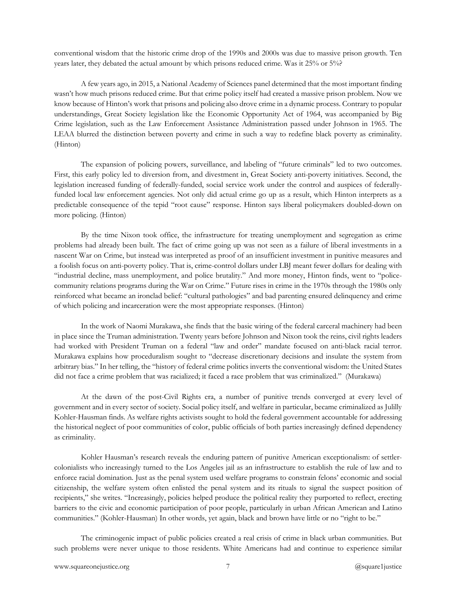conventional wisdom that the historic crime drop of the 1990s and 2000s was due to massive prison growth. Ten years later, they debated the actual amount by which prisons reduced crime. Was it 25% or 5%?

A few years ago, in 2015, a National Academy of Sciences panel determined that the most important finding wasn't how much prisons reduced crime. But that crime policy itself had created a massive prison problem. Now we know because of Hinton's work that prisons and policing also drove crime in a dynamic process. Contrary to popular understandings, Great Society legislation like the Economic Opportunity Act of 1964, was accompanied by Big Crime legislation, such as the Law Enforcement Assistance Administration passed under Johnson in 1965. The LEAA blurred the distinction between poverty and crime in such a way to redefine black poverty as criminality. (Hinton)

The expansion of policing powers, surveillance, and labeling of "future criminals" led to two outcomes. First, this early policy led to diversion from, and divestment in, Great Society anti-poverty initiatives. Second, the legislation increased funding of federally-funded, social service work under the control and auspices of federallyfunded local law enforcement agencies. Not only did actual crime go up as a result, which Hinton interprets as a predictable consequence of the tepid "root cause" response. Hinton says liberal policymakers doubled-down on more policing. (Hinton)

By the time Nixon took office, the infrastructure for treating unemployment and segregation as crime problems had already been built. The fact of crime going up was not seen as a failure of liberal investments in a nascent War on Crime, but instead was interpreted as proof of an insufficient investment in punitive measures and a foolish focus on anti-poverty policy. That is, crime-control dollars under LBJ meant fewer dollars for dealing with "industrial decline, mass unemployment, and police brutality." And more money, Hinton finds, went to "policecommunity relations programs during the War on Crime." Future rises in crime in the 1970s through the 1980s only reinforced what became an ironclad belief: "cultural pathologies" and bad parenting ensured delinquency and crime of which policing and incarceration were the most appropriate responses. (Hinton)

In the work of Naomi Murakawa, she finds that the basic wiring of the federal carceral machinery had been in place since the Truman administration. Twenty years before Johnson and Nixon took the reins, civil rights leaders had worked with President Truman on a federal "law and order" mandate focused on anti-black racial terror. Murakawa explains how proceduralism sought to "decrease discretionary decisions and insulate the system from arbitrary bias." In her telling, the "history of federal crime politics inverts the conventional wisdom: the United States did not face a crime problem that was racialized; it faced a race problem that was criminalized." (Murakawa)

At the dawn of the post-Civil Rights era, a number of punitive trends converged at every level of government and in every sector of society. Social policy itself, and welfare in particular, became criminalized as Julilly Kohler-Hausman finds. As welfare rights activists sought to hold the federal government accountable for addressing the historical neglect of poor communities of color, public officials of both parties increasingly defined dependency as criminality.

Kohler Hausman's research reveals the enduring pattern of punitive American exceptionalism: of settlercolonialists who increasingly turned to the Los Angeles jail as an infrastructure to establish the rule of law and to enforce racial domination. Just as the penal system used welfare programs to constrain felons' economic and social citizenship, the welfare system often enlisted the penal system and its rituals to signal the suspect position of recipients," she writes. "Increasingly, policies helped produce the political reality they purported to reflect, erecting barriers to the civic and economic participation of poor people, particularly in urban African American and Latino communities." (Kohler-Hausman) In other words, yet again, black and brown have little or no "right to be."

The criminogenic impact of public policies created a real crisis of crime in black urban communities. But such problems were never unique to those residents. White Americans had and continue to experience similar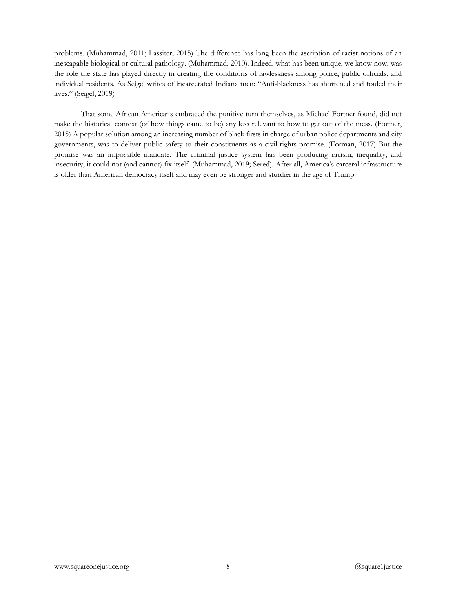problems. (Muhammad, 2011; Lassiter, 2015) The difference has long been the ascription of racist notions of an inescapable biological or cultural pathology. (Muhammad, 2010). Indeed, what has been unique, we know now, was the role the state has played directly in creating the conditions of lawlessness among police, public officials, and individual residents. As Seigel writes of incarcerated Indiana men: "Anti-blackness has shortened and fouled their lives." (Seigel, 2019)

That some African Americans embraced the punitive turn themselves, as Michael Fortner found, did not make the historical context (of how things came to be) any less relevant to how to get out of the mess. (Fortner, 2015) A popular solution among an increasing number of black firsts in charge of urban police departments and city governments, was to deliver public safety to their constituents as a civil-rights promise. (Forman, 2017) But the promise was an impossible mandate. The criminal justice system has been producing racism, inequality, and insecurity; it could not (and cannot) fix itself. (Muhammad, 2019; Sered). After all, America's carceral infrastructure is older than American democracy itself and may even be stronger and sturdier in the age of Trump.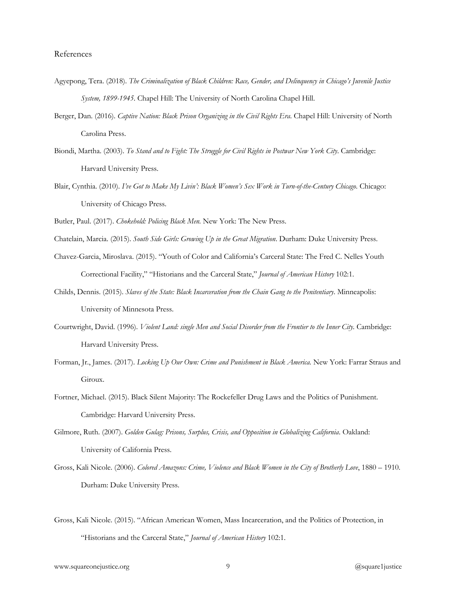- Agyepong, Tera. (2018). *The Criminalization of Black Children: Race, Gender, and Delinquency in Chicago's Juvenile Justice System, 1899-1945*. Chapel Hill: The University of North Carolina Chapel Hill.
- Berger, Dan. (2016). *Captive Nation: Black Prison Organizing in the Civil Rights Era*. Chapel Hill: University of North Carolina Press.
- Biondi, Martha. (2003). *To Stand and to Fight: The Struggle for Civil Rights in Postwar New York City*. Cambridge: Harvard University Press.
- Blair, Cynthia. (2010). *I've Got to Make My Livin': Black Women's Sex Work in Turn-of-the-Century Chicago*. Chicago: University of Chicago Press.
- Butler, Paul. (2017). *Chokehold: Policing Black Men.* New York: The New Press.
- Chatelain, Marcia. (2015). *South Side Girls: Growing Up in the Great Migration*. Durham: Duke University Press.
- Chavez-Garcia, Miroslava. (2015). "Youth of Color and California's Carceral State: The Fred C. Nelles Youth Correctional Facility," "Historians and the Carceral State," *Journal of American History* 102:1.
- Childs, Dennis. (2015). *Slaves of the State: Black Incarceration from the Chain Gang to the Penitentiary*. Minneapolis: University of Minnesota Press.
- Courtwright, David. (1996). *Violent Land: single Men and Social Disorder from the Frontier to the Inner City.* Cambridge: Harvard University Press.
- Forman, Jr., James. (2017). *Locking Up Our Own: Crime and Punishment in Black America.* New York: Farrar Straus and Giroux.
- Fortner, Michael. (2015). Black Silent Majority: The Rockefeller Drug Laws and the Politics of Punishment. Cambridge: Harvard University Press.
- Gilmore, Ruth. (2007). *Golden Gulag: Prisons, Surplus, Crisis, and Opposition in Globalizing California*. Oakland: University of California Press.
- Gross, Kali Nicole. (2006). *Colored Amazons: Crime, Violence and Black Women in the City of Brotherly Love*, 1880 1910. Durham: Duke University Press.
- Gross, Kali Nicole. (2015). "African American Women, Mass Incarceration, and the Politics of Protection, in "Historians and the Carceral State," *Journal of American History* 102:1.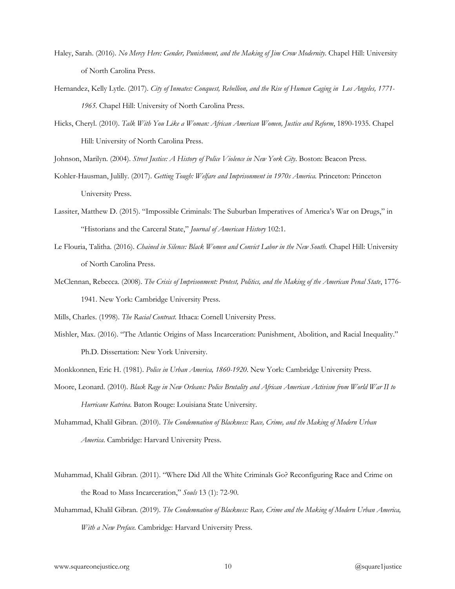- Haley, Sarah. (2016). *No Mercy Here: Gender, Punishment, and the Making of Jim Crow Modernity*. Chapel Hill: University of North Carolina Press.
- Hernandez, Kelly Lytle. (2017). *City of Inmates: Conquest, Rebellion, and the Rise of Human Caging in Los Angeles, 1771- 1965.* Chapel Hill: University of North Carolina Press.
- Hicks, Cheryl. (2010). *Talk With You Like a Woman: African American Women, Justice and Reform*, 1890-1935. Chapel Hill: University of North Carolina Press.

Johnson, Marilyn. (2004). *Street Justice: A History of Police Violence in New York City*. Boston: Beacon Press.

- Kohler-Hausman, Julilly. (2017). *Getting Tough: Welfare and Imprisonment in 1970s America.* Princeton: Princeton University Press.
- Lassiter, Matthew D. (2015). "Impossible Criminals: The Suburban Imperatives of America's War on Drugs," in "Historians and the Carceral State," *Journal of American History* 102:1.
- Le Flouria, Talitha. (2016). *Chained in Silence: Black Women and Convict Labor in the New South.* Chapel Hill: University of North Carolina Press.
- McClennan, Rebecca. (2008). *The Crisis of Imprisonment: Protest, Politics, and the Making of the American Penal State*, 1776- 1941. New York: Cambridge University Press.

Mills, Charles. (1998). *The Racial Contract.* Ithaca: Cornell University Press.

- Mishler, Max. (2016). "The Atlantic Origins of Mass Incarceration: Punishment, Abolition, and Racial Inequality." Ph.D. Dissertation: New York University.
- Monkkonnen, Eric H. (1981). *Police in Urban America, 1860-1920*. New York: Cambridge University Press.
- Moore, Leonard. (2010). *Black Rage in New Orleans: Police Brutality and African American Activism from World War II to Hurricane Katrina*. Baton Rouge: Louisiana State University.

Muhammad, Khalil Gibran. (2010). *The Condemnation of Blackness: Race, Crime, and the Making of Modern Urban America*. Cambridge: Harvard University Press.

- Muhammad, Khalil Gibran. (2011). "Where Did All the White Criminals Go? Reconfiguring Race and Crime on the Road to Mass Incarceration," *Souls* 13 (1): 72-90.
- Muhammad, Khalil Gibran. (2019). *The Condemnation of Blackness: Race, Crime and the Making of Modern Urban America, With a New Preface.* Cambridge: Harvard University Press.